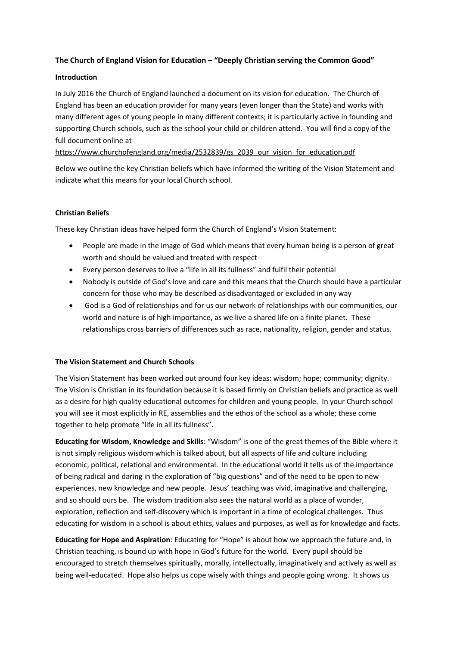# **The Church of England Vision for Education – "Deeply Christian serving the Common Good"**

### **Introduction**

In July 2016 the Church of England launched a document on its vision for education. The Church of England has been an education provider for many years (even longer than the State) and works with many different ages of young people in many different contexts; it is particularly active in founding and supporting Church schools, such as the school your child or children attend. You will find a copy of the full document online at

https://www.churchofengland.org/media/2532839/gs\_2039\_our\_vision\_for\_education.pdf

Below we outline the key Christian beliefs which have informed the writing of the Vision Statement and indicate what this means for your local Church school.

## **Christian Beliefs**

These key Christian ideas have helped form the Church of England's Vision Statement:

- People are made in the image of God which means that every human being is a person of great worth and should be valued and treated with respect
- Every person deserves to live a "life in all its fullness" and fulfil their potential
- Nobody is outside of God's love and care and this means that the Church should have a particular concern for those who may be described as disadvantaged or excluded in any way
- God is a God of relationships and for us our network of relationships with our communities, our world and nature is of high importance, as we live a shared life on a finite planet. These relationships cross barriers of differences such as race, nationality, religion, gender and status.

## **The Vision Statement and Church Schools**

The Vision Statement has been worked out around four key ideas: wisdom; hope; community; dignity. The Vision is Christian in its foundation because it is based firmly on Christian beliefs and practice as well as a desire for high quality educational outcomes for children and young people. In your Church school you will see it most explicitly in RE, assemblies and the ethos of the school as a whole; these come together to help promote "life in all its fullness".

**Educating for Wisdom, Knowledge and Skills**: "Wisdom" is one of the great themes of the Bible where it is not simply religious wisdom which is talked about, but all aspects of life and culture including economic, political, relational and environmental. In the educational world it tells us of the importance of being radical and daring in the exploration of "big questions" and of the need to be open to new experiences, new knowledge and new people. Jesus' teaching was vivid, imaginative and challenging, and so should ours be. The wisdom tradition also sees the natural world as a place of wonder, exploration, reflection and self-discovery which is important in a time of ecological challenges. Thus educating for wisdom in a school is about ethics, values and purposes, as well as for knowledge and facts.

**Educating for Hope and Aspiration**: Educating for "Hope" is about how we approach the future and, in Christian teaching, is bound up with hope in God's future for the world. Every pupil should be encouraged to stretch themselves spiritually, morally, intellectually, imaginatively and actively as well as being well-educated. Hope also helps us cope wisely with things and people going wrong. It shows us